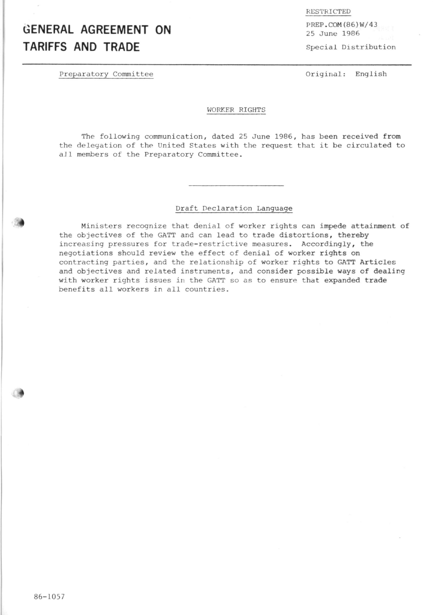# GENERAL AGREEMENT ON PREP. COM (86) W/43 TARIFFS AND TRADE Special Distribution

RESTRICTED

Preparatory Committee **Committee** Criginal: English

## WORKER RIGHTS

The following communication, dated 25 June 1986, has been received from the delegation of the United States with the request that it be circulated to aJ1 members of the Preparatory Committee.

#### Draft Declaration Language

Ministers recognize that denial of worker rights can impede attainment of the objectives of the GATT and can lead to trade distortions, thereby increasing pressures for trade-restrictive measures. Accordingly, the negotiations should review the effect of denial of worker rights on contracting parties, and the relationship of worker rights to GATT Articles and objectives and related instruments, and consider possible ways of dealing with worker rights issues in the GATT so as to ensure that expanded trade benefits all workers in all countries.

\*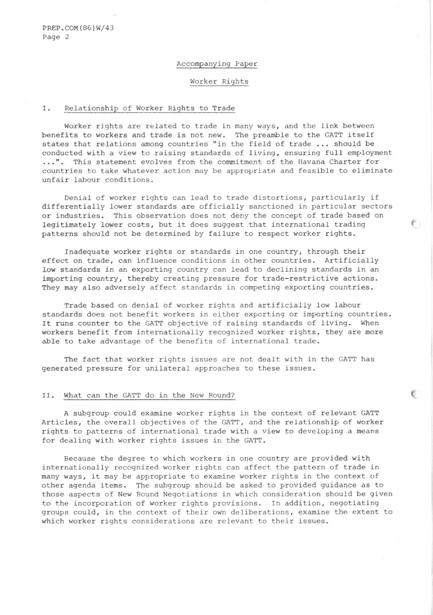PREP.COM(86)W/43 Page 2

#### Accompanying Paper

#### Worker Rights

#### I. Relationship of Worker Rights to Trade

Worker rights are related to trade in many ways, and the link between benefits to workers and trade is not new. The preamble to the GATT itself states that relations among countries "in the field of trade ... should be conducted with a view to raising standards of living, ensuring full employment ...". This statement evolves from the commitment of the Havana Charter for countries to take whatever action may be appropriate and feasible to eliminate unfair labour conditions.

Denial of worker rights can lead to trade distortions, particularly if differentially lower standards are officially sanctioned in particular sectors or industries. This observation does not deny the concept of trade based on legitimately lower costs, but it does suggest that international trading patterns should not be determined by failure to respect worker rights.

Inadequate worker rights or standards in one country, through their effect on trade, can influence conditions in other countries. Artificially low standards in an exporting country can lead to declining standards in an importing country, thereby creating pressure for trade-restrictive actions. They may also adversely affect standards in competing exporting countries.

Trade based on denial of worker rights and artificially low labour standards does not benefit workers in either exporting or importing countries. It runs counter to the GATT objective of raising standards of living. When workers benefit from internationally recognized worker rights, they are more able to take advantage of the benefits of international trade.

The fact that worker rights issues are not dealt with in the GATT has generated pressure for unilateral approaches to these issues.

#### II. What can the GATT do in the New Round?

A subgroup could examine worker rights in the context of relevant GATT Articles, the overall objectives of the GATT, and the relationship of worker rights to patterns of international trade with a view to developing a means for dealing with worker rights issues in the GATT.

Because the degree to which workers in one country are provided with internationally recognized worker rights can affect the pattern of trade in many ways, it may be appropriate to examine worker rights in the context of other agenda items. The subgroup should be asked to provided guidance as to those aspects of New Round Negotiations in which consideration should be given to the incorporation of worker rights provisions. In addition, negotiating groups could, in the context of their own deliberations, examine the extent to which worker rights considerations are relevant to their issues.